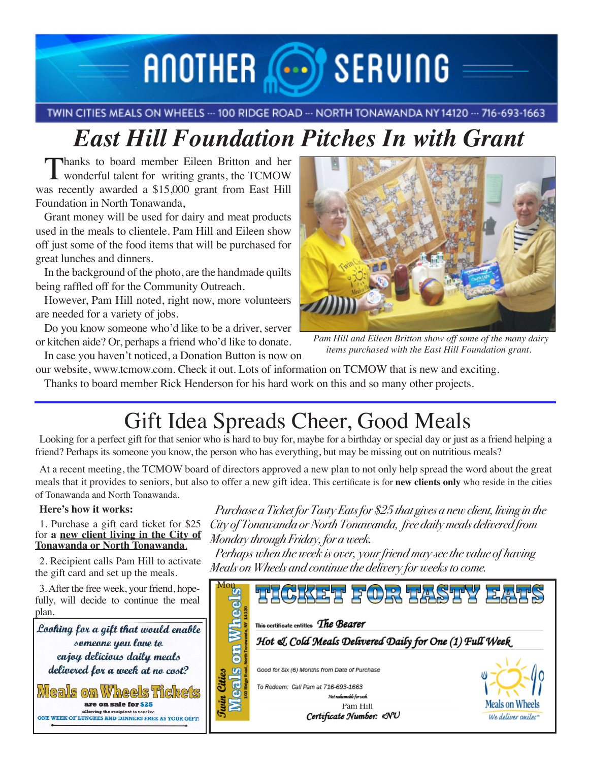# ANOTHER **SERVING**

TWIN CITIES MEALS ON WHEELS --- 100 RIDGE ROAD --- NORTH TONAWANDA NY 14120 --- 716-693-1663

# *East Hill Foundation Pitches In with Grant*

Thanks to board member Eileen Britton and her<br>wonderful talent for writing grants, the TCMOW was recently awarded a \$15,000 grant from East Hill Foundation in North Tonawanda,

Grant money will be used for dairy and meat products used in the meals to clientele. Pam Hill and Eileen show off just some of the food items that will be purchased for great lunches and dinners.

In the background of the photo, are the handmade quilts being raffled off for the Community Outreach.

However, Pam Hill noted, right now, more volunteers are needed for a variety of jobs.

Do you know someone who'd like to be a driver, server or kitchen aide? Or, perhaps a friend who'd like to donate.

In case you haven't noticed, a Donation Button is now on

our website, www.tcmow.com. Check it out. Lots of information on TCMOW that is new and exciting.

Thanks to board member Rick Henderson for his hard work on this and so many other projects.

# Gift Idea Spreads Cheer, Good Meals

Looking for a perfect gift for that senior who is hard to buy for, maybe for a birthday or special day or just as a friend helping a friend? Perhaps its someone you know, the person who has everything, but may be missing out on nutritious meals?

At a recent meeting, the TCMOW board of directors approved a new plan to not only help spread the word about the great meals that it provides to seniors, but also to offer a new gift idea. This certificate is for **new clients only** who reside in the cities of Tonawanda and North Tonawanda.

#### **Here's how it works:**

1. Purchase a gift card ticket for \$25 for **a new client living in the City of Tonawanda or North Tonawanda**.

2. Recipient calls Pam Hill to activate the gift card and set up the meals.

3. After the free week, your friend, hopefully, will decide to continue the meal plan.

Looking for a gift that would enable someone you love to enjoy delicious daily meals delivered for a week at no cost?



*Purchase a Ticket for Tasty Eats for \$25 that gives a new client, living in the City of Tonawanda or North Tonawanda, free daily meals delivered from Monday through Friday, for a week.*

*Perhaps when the week is over, your friend may see the value of having Meals on Wheels and continue the delivery for weeks to come.*





*Pam Hill and Eileen Britton show off some of the many dairy items purchased with the East Hill Foundation grant.*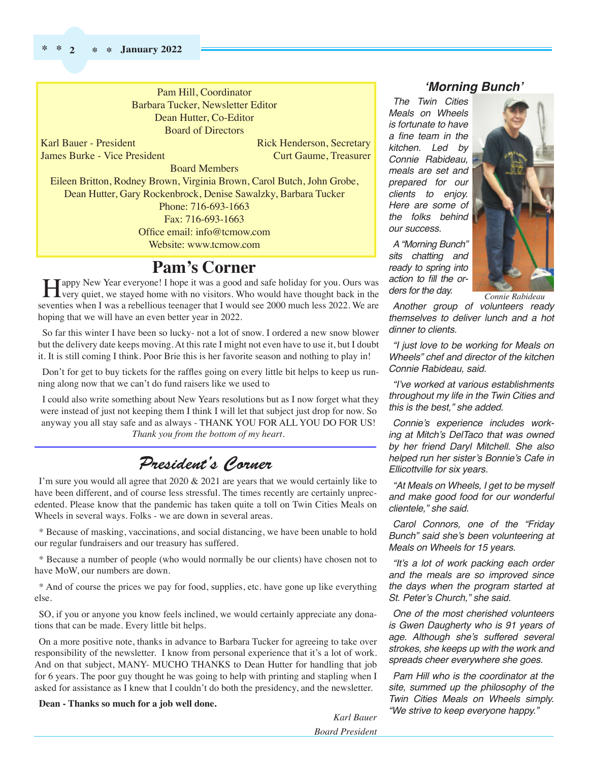**\* \* \* \* 2 January 2022**



Office email: info@tcmow.com Website: www.tcmow.com

### **Pam's Corner**

Tappy New Year everyone! I hope it was a good and safe holiday for you. Ours was **L** very quiet, we stayed home with no visitors. Who would have thought back in the seventies when I was a rebellious teenager that I would see 2000 much less 2022. We are hoping that we will have an even better year in 2022.

So far this winter I have been so lucky- not a lot of snow. I ordered a new snow blower but the delivery date keeps moving. At this rate I might not even have to use it, but I doubt it. It is still coming I think. Poor Brie this is her favorite season and nothing to play in!

Don't for get to buy tickets for the raffles going on every little bit helps to keep us running along now that we can't do fund raisers like we used to

I could also write something about New Years resolutions but as I now forget what they were instead of just not keeping them I think I will let that subject just drop for now. So anyway you all stay safe and as always - THANK YOU FOR ALL YOU DO FOR US! *Thank you from the bottom of my heart.* 

### *President's Corner*

I'm sure you would all agree that 2020 & 2021 are years that we would certainly like to have been different, and of course less stressful. The times recently are certainly unprecedented. Please know that the pandemic has taken quite a toll on Twin Cities Meals on Wheels in several ways. Folks - we are down in several areas.

\* Because of masking, vaccinations, and social distancing, we have been unable to hold our regular fundraisers and our treasury has suffered.

\* Because a number of people (who would normally be our clients) have chosen not to have MoW, our numbers are down.

\* And of course the prices we pay for food, supplies, etc. have gone up like everything else.

SO, if you or anyone you know feels inclined, we would certainly appreciate any donations that can be made. Every little bit helps.

On a more positive note, thanks in advance to Barbara Tucker for agreeing to take over responsibility of the newsletter. I know from personal experience that it's a lot of work. And on that subject, MANY- MUCHO THANKS to Dean Hutter for handling that job for 6 years. The poor guy thought he was going to help with printing and stapling when I asked for assistance as I knew that I couldn't do both the presidency, and the newsletter.

**Dean - Thanks so much for a job well done.**

#### **'Morning Bunch'**

The Twin Cities Meals on Wheels is fortunate to have a fine team in the kitchen. Led by Connie Rabideau, meals are set and prepared for our clients to enjoy. Here are some of the folks behind our success.

A "Morning Bunch" sits chatting and ready to spring into action to fill the orders for the day.



*Connie Rabideau*

Another group of volunteers ready themselves to deliver lunch and a hot dinner to clients.

"I just love to be working for Meals on Wheels" chef and director of the kitchen Connie Rabideau, said.

"I've worked at various establishments throughout my life in the Twin Cities and this is the best," she added.

Connie's experience includes working at Mitch's DelTaco that was owned by her friend Daryl Mitchell. She also helped run her sister's Bonnie's Cafe in Ellicottville for six years.

"At Meals on Wheels, I get to be myself and make good food for our wonderful clientele," she said.

Carol Connors, one of the "Friday Bunch" said she's been volunteering at Meals on Wheels for 15 years.

"It's a lot of work packing each order and the meals are so improved since the days when the program started at St. Peter's Church," she said.

One of the most cherished volunteers is Gwen Daugherty who is 91 years of age. Although she's suffered several strokes, she keeps up with the work and spreads cheer everywhere she goes.

Pam Hill who is the coordinator at the site, summed up the philosophy of the Twin Cities Meals on Wheels simply. "We strive to keep everyone happy."

*Karl Bauer Board President*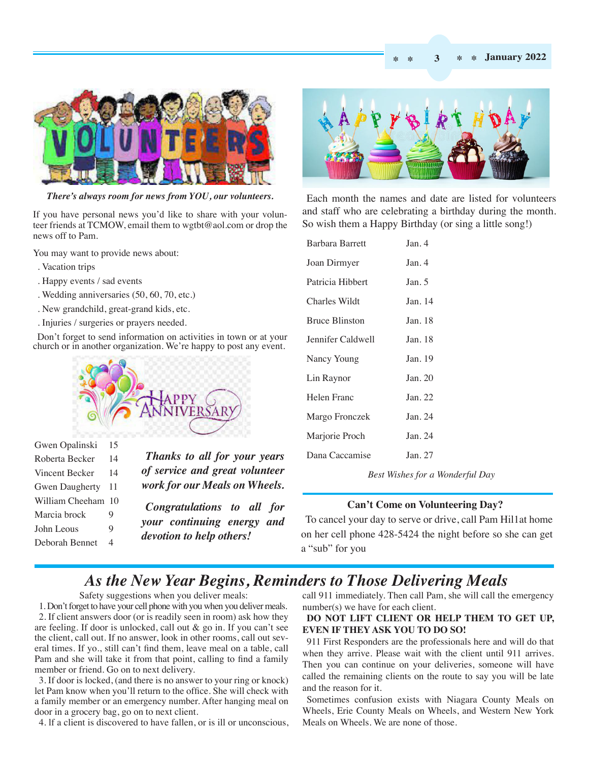

*There's always room for news from YOU, our volunteers.*

If you have personal news you'd like to share with your volunteer friends at TCMOW, email them to wgtbt@aol.com or drop the news off to Pam.

You may want to provide news about:

- . Vacation trips
- . Happy events / sad events
- . Wedding anniversaries (50, 60, 70, etc.)
- . New grandchild, great-grand kids, etc.
- . Injuries / surgeries or prayers needed.

Don't forget to send information on activities in town or at your church or in another organization. We're happy to post any event.



| Gwen Opalinski        | 15  |
|-----------------------|-----|
| Roberta Becker        | 14  |
| Vincent Becker        | 14  |
| <b>Gwen Daugherty</b> | 11  |
| William Cheeham       | 1() |
| Marcia brock          | Q   |
| John Leous            | 9   |
| Deborah Bennet        |     |

*Thanks to all for your years of service and great volunteer work for our Meals on Wheels.*

*Congratulations to all for your continuing energy and devotion to help others!*



Each month the names and date are listed for volunteers and staff who are celebrating a birthday during the month. So wish them a Happy Birthday (or sing a little song!)

| <b>Barbara Barrett</b> | Jan.4    |
|------------------------|----------|
| Joan Dirmyer           | Jan. $4$ |
| Patricia Hibbert       | Jan.5    |
| Charles Wildt          | Jan. 14  |
| <b>Bruce Blinston</b>  | Jan. 18  |
| Jennifer Caldwell      | Jan. 18  |
| Nancy Young            | Jan. 19  |
| Lin Raynor             | Jan. 20  |
| Helen Franc            | Jan. 22  |
| Margo Fronczek         | Jan. 24  |
| Marjorie Proch         | Jan. 24  |
| Dana Caccamise         | Jan. 27  |

*Best Wishes for a Wonderful Day*

#### **Can't Come on Volunteering Day?**

To cancel your day to serve or drive, call Pam Hil1at home on her cell phone 428-5424 the night before so she can get a "sub" for you

### *As the New Year Begins, Reminders to Those Delivering Meals*

Safety suggestions when you deliver meals:

1. Don't forget to have your cell phone with you when you deliver meals. 2. If client answers door (or is readily seen in room) ask how they are feeling. If door is unlocked, call out  $\&$  go in. If you can't see the client, call out. If no answer, look in other rooms, call out several times. If yo., still can't find them, leave meal on a table, call Pam and she will take it from that point, calling to find a family member or friend. Go on to next delivery.

3. If door is locked, (and there is no answer to your ring or knock) let Pam know when you'll return to the office. She will check with a family member or an emergency number. After hanging meal on door in a grocery bag, go on to next client.

4. lf a client is discovered to have fallen, or is ill or unconscious,

call 911 immediately. Then call Pam, she will call the emergency number(s) we have for each client.

#### **DO NOT LIFT CLIENT OR HELP THEM TO GET UP, EVEN IF THEY ASK YOU TO DO SO!**

911 First Responders are the professionals here and will do that when they arrive. Please wait with the client until 911 arrives. Then you can continue on your deliveries, someone will have called the remaining clients on the route to say you will be late and the reason for it.

Sometimes confusion exists with Niagara County Meals on Wheels, Erie County Meals on Wheels, and Western New York Meals on Wheels. We are none of those.